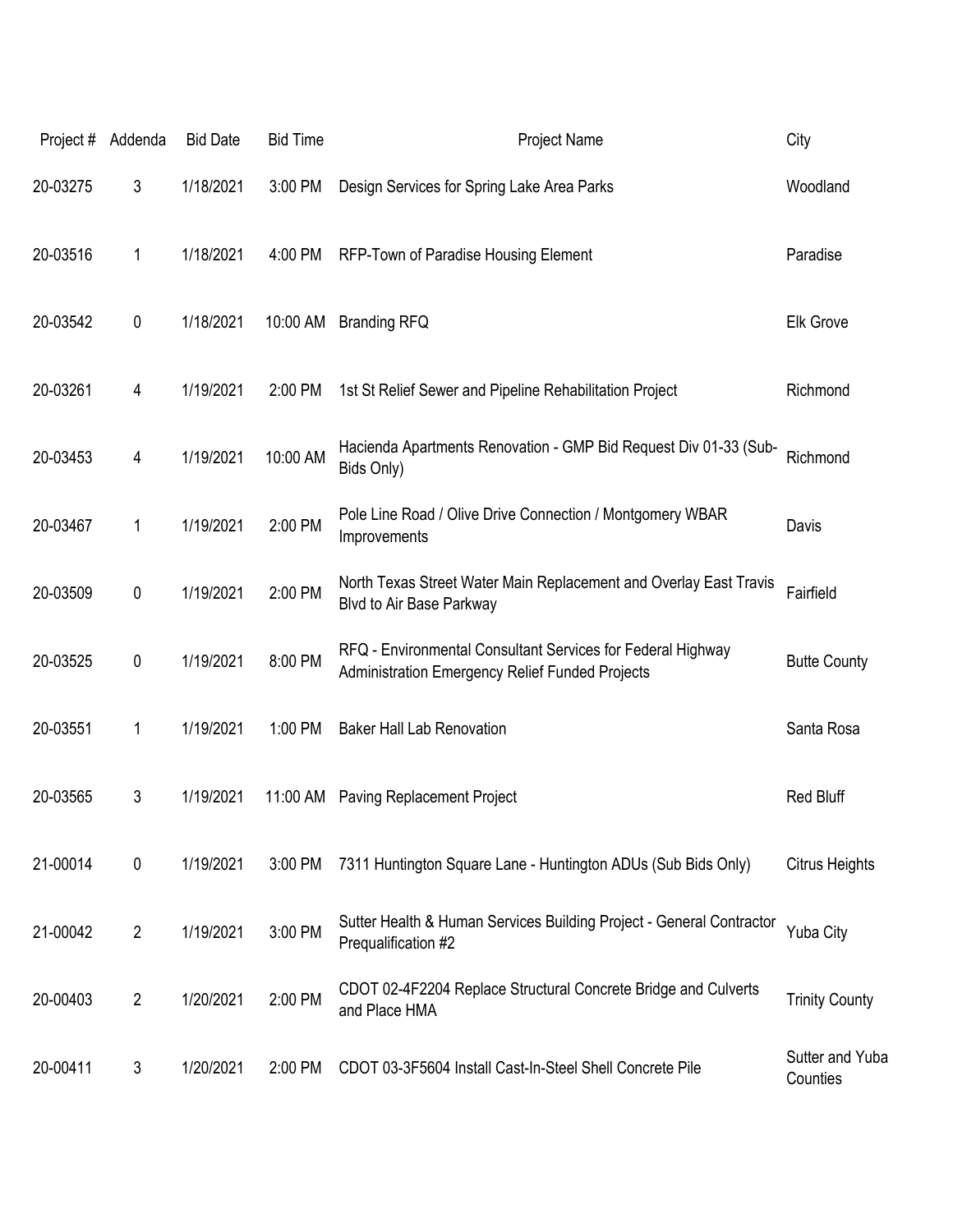| Project# | Addenda        | <b>Bid Date</b> | <b>Bid Time</b> | Project Name                                                                                                          | City                        |
|----------|----------------|-----------------|-----------------|-----------------------------------------------------------------------------------------------------------------------|-----------------------------|
| 20-03275 | 3              | 1/18/2021       | 3:00 PM         | Design Services for Spring Lake Area Parks                                                                            | Woodland                    |
| 20-03516 | 1              | 1/18/2021       | 4:00 PM         | RFP-Town of Paradise Housing Element                                                                                  | Paradise                    |
| 20-03542 | 0              | 1/18/2021       | 10:00 AM        | <b>Branding RFQ</b>                                                                                                   | <b>Elk Grove</b>            |
| 20-03261 | 4              | 1/19/2021       | 2:00 PM         | 1st St Relief Sewer and Pipeline Rehabilitation Project                                                               | Richmond                    |
| 20-03453 | 4              | 1/19/2021       | 10:00 AM        | Hacienda Apartments Renovation - GMP Bid Request Div 01-33 (Sub-<br>Bids Only)                                        | Richmond                    |
| 20-03467 | 1              | 1/19/2021       | 2:00 PM         | Pole Line Road / Olive Drive Connection / Montgomery WBAR<br>Improvements                                             | Davis                       |
| 20-03509 | 0              | 1/19/2021       | 2:00 PM         | North Texas Street Water Main Replacement and Overlay East Travis<br>Blvd to Air Base Parkway                         | Fairfield                   |
| 20-03525 | 0              | 1/19/2021       | 8:00 PM         | RFQ - Environmental Consultant Services for Federal Highway<br><b>Administration Emergency Relief Funded Projects</b> | <b>Butte County</b>         |
| 20-03551 | 1              | 1/19/2021       | 1:00 PM         | <b>Baker Hall Lab Renovation</b>                                                                                      | Santa Rosa                  |
| 20-03565 | 3              | 1/19/2021       | 11:00 AM        | <b>Paving Replacement Project</b>                                                                                     | <b>Red Bluff</b>            |
| 21-00014 | $\pmb{0}$      | 1/19/2021       | 3:00 PM         | 7311 Huntington Square Lane - Huntington ADUs (Sub Bids Only)                                                         | <b>Citrus Heights</b>       |
| 21-00042 | $\overline{2}$ | 1/19/2021       | 3:00 PM         | Sutter Health & Human Services Building Project - General Contractor<br>Prequalification #2                           | Yuba City                   |
| 20-00403 | $\overline{2}$ | 1/20/2021       | 2:00 PM         | CDOT 02-4F2204 Replace Structural Concrete Bridge and Culverts<br>and Place HMA                                       | <b>Trinity County</b>       |
| 20-00411 | 3              | 1/20/2021       | 2:00 PM         | CDOT 03-3F5604 Install Cast-In-Steel Shell Concrete Pile                                                              | Sutter and Yuba<br>Counties |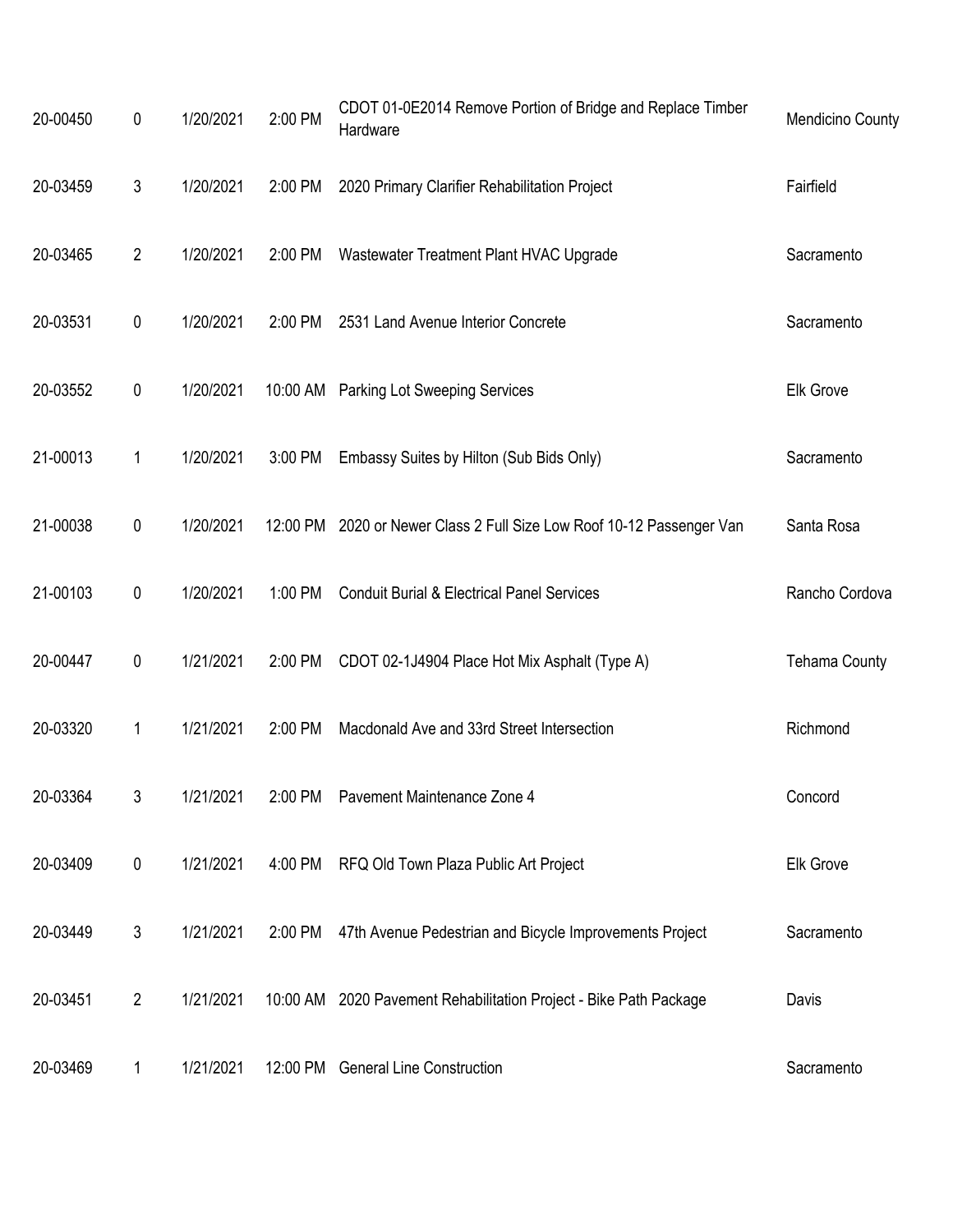| 20-00450 | $\mathbf 0$      | 1/20/2021 | 2:00 PM | CDOT 01-0E2014 Remove Portion of Bridge and Replace Timber<br>Hardware | <b>Mendicino County</b> |
|----------|------------------|-----------|---------|------------------------------------------------------------------------|-------------------------|
| 20-03459 | $\mathfrak{Z}$   | 1/20/2021 | 2:00 PM | 2020 Primary Clarifier Rehabilitation Project                          | Fairfield               |
| 20-03465 | $\overline{2}$   | 1/20/2021 | 2:00 PM | Wastewater Treatment Plant HVAC Upgrade                                | Sacramento              |
| 20-03531 | $\pmb{0}$        | 1/20/2021 | 2:00 PM | 2531 Land Avenue Interior Concrete                                     | Sacramento              |
| 20-03552 | $\boldsymbol{0}$ | 1/20/2021 |         | 10:00 AM Parking Lot Sweeping Services                                 | Elk Grove               |
| 21-00013 | 1                | 1/20/2021 | 3:00 PM | Embassy Suites by Hilton (Sub Bids Only)                               | Sacramento              |
| 21-00038 | $\pmb{0}$        | 1/20/2021 |         | 12:00 PM 2020 or Newer Class 2 Full Size Low Roof 10-12 Passenger Van  | Santa Rosa              |
| 21-00103 | $\pmb{0}$        | 1/20/2021 | 1:00 PM | <b>Conduit Burial &amp; Electrical Panel Services</b>                  | Rancho Cordova          |
| 20-00447 | $\pmb{0}$        | 1/21/2021 | 2:00 PM | CDOT 02-1J4904 Place Hot Mix Asphalt (Type A)                          | <b>Tehama County</b>    |
| 20-03320 | 1                | 1/21/2021 | 2:00 PM | Macdonald Ave and 33rd Street Intersection                             | Richmond                |
| 20-03364 | 3                | 1/21/2021 |         | 2:00 PM Pavement Maintenance Zone 4                                    | Concord                 |
| 20-03409 | $\pmb{0}$        | 1/21/2021 |         | 4:00 PM RFQ Old Town Plaza Public Art Project                          | Elk Grove               |
| 20-03449 | 3                | 1/21/2021 | 2:00 PM | 47th Avenue Pedestrian and Bicycle Improvements Project                | Sacramento              |
| 20-03451 | $\overline{c}$   | 1/21/2021 |         | 10:00 AM 2020 Pavement Rehabilitation Project - Bike Path Package      | Davis                   |
| 20-03469 | 1                | 1/21/2021 |         | 12:00 PM General Line Construction                                     | Sacramento              |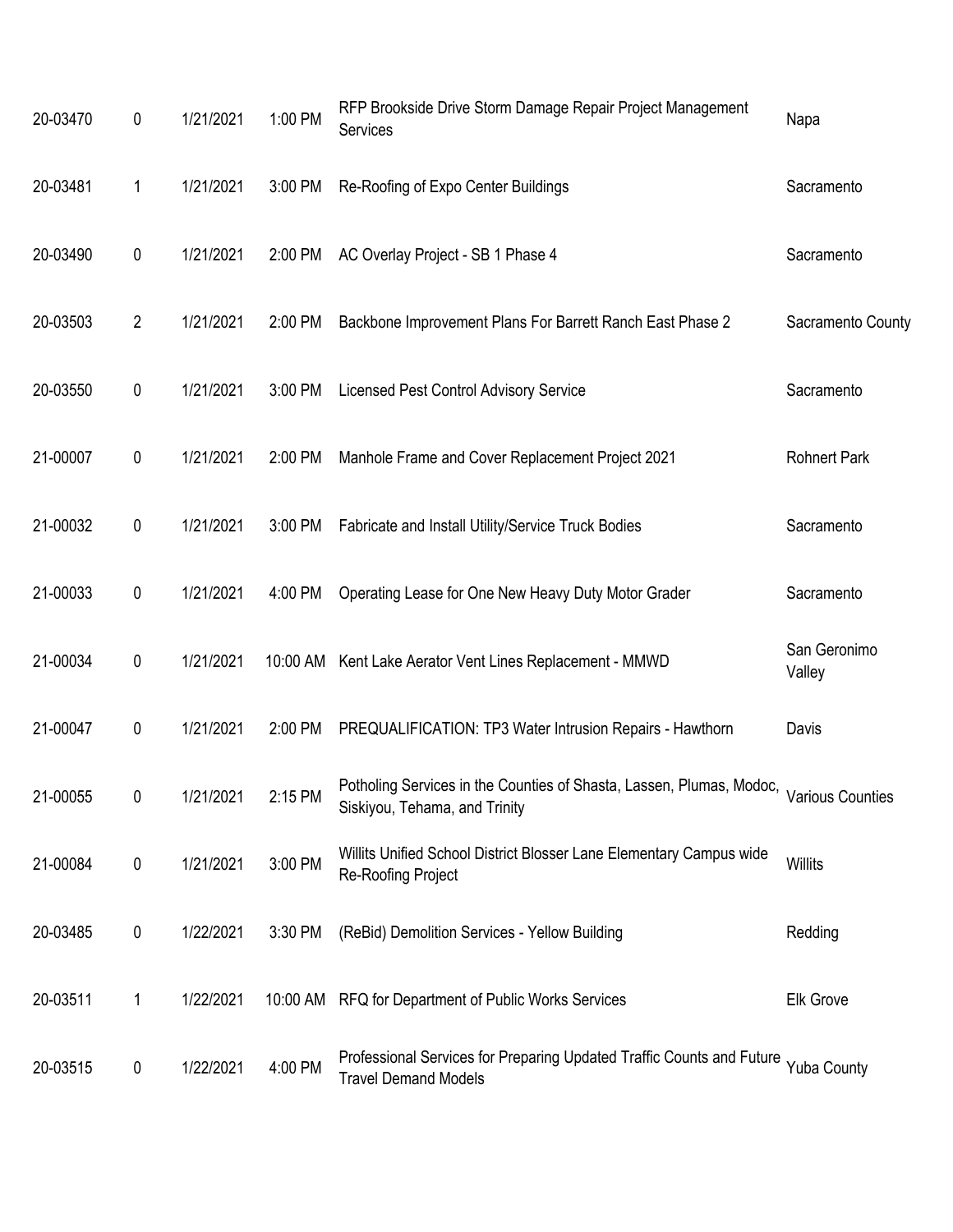| 20-03470 | 0              | 1/21/2021         | 1:00 PM | RFP Brookside Drive Storm Damage Repair Project Management<br>Services                                | Napa                    |
|----------|----------------|-------------------|---------|-------------------------------------------------------------------------------------------------------|-------------------------|
| 20-03481 | 1              | 1/21/2021         | 3:00 PM | Re-Roofing of Expo Center Buildings                                                                   | Sacramento              |
| 20-03490 | 0              | 1/21/2021         | 2:00 PM | AC Overlay Project - SB 1 Phase 4                                                                     | Sacramento              |
| 20-03503 | $\overline{2}$ | 1/21/2021         | 2:00 PM | Backbone Improvement Plans For Barrett Ranch East Phase 2                                             | Sacramento County       |
| 20-03550 | 0              | 1/21/2021         | 3:00 PM | <b>Licensed Pest Control Advisory Service</b>                                                         | Sacramento              |
| 21-00007 | 0              | 1/21/2021         | 2:00 PM | Manhole Frame and Cover Replacement Project 2021                                                      | <b>Rohnert Park</b>     |
| 21-00032 | 0              | 1/21/2021         | 3:00 PM | Fabricate and Install Utility/Service Truck Bodies                                                    | Sacramento              |
| 21-00033 | 0              | 1/21/2021         | 4:00 PM | Operating Lease for One New Heavy Duty Motor Grader                                                   | Sacramento              |
| 21-00034 | 0              | 1/21/2021         |         | 10:00 AM Kent Lake Aerator Vent Lines Replacement - MMWD                                              | San Geronimo<br>Valley  |
| 21-00047 | 0              | 1/21/2021         | 2:00 PM | PREQUALIFICATION: TP3 Water Intrusion Repairs - Hawthorn                                              | Davis                   |
| 21-00055 | 0              | 1/21/2021 2:15 PM |         | Potholing Services in the Counties of Shasta, Lassen, Plumas, Modoc,<br>Siskiyou, Tehama, and Trinity | <b>Various Counties</b> |
| 21-00084 | 0              | 1/21/2021         | 3:00 PM | Willits Unified School District Blosser Lane Elementary Campus wide<br>Re-Roofing Project             | <b>Willits</b>          |
| 20-03485 | 0              | 1/22/2021         | 3:30 PM | (ReBid) Demolition Services - Yellow Building                                                         | Redding                 |
| 20-03511 | 1              | 1/22/2021         |         | 10:00 AM RFQ for Department of Public Works Services                                                  | <b>Elk Grove</b>        |
| 20-03515 | 0              | 1/22/2021         | 4:00 PM | Professional Services for Preparing Updated Traffic Counts and Future<br><b>Travel Demand Models</b>  | Yuba County             |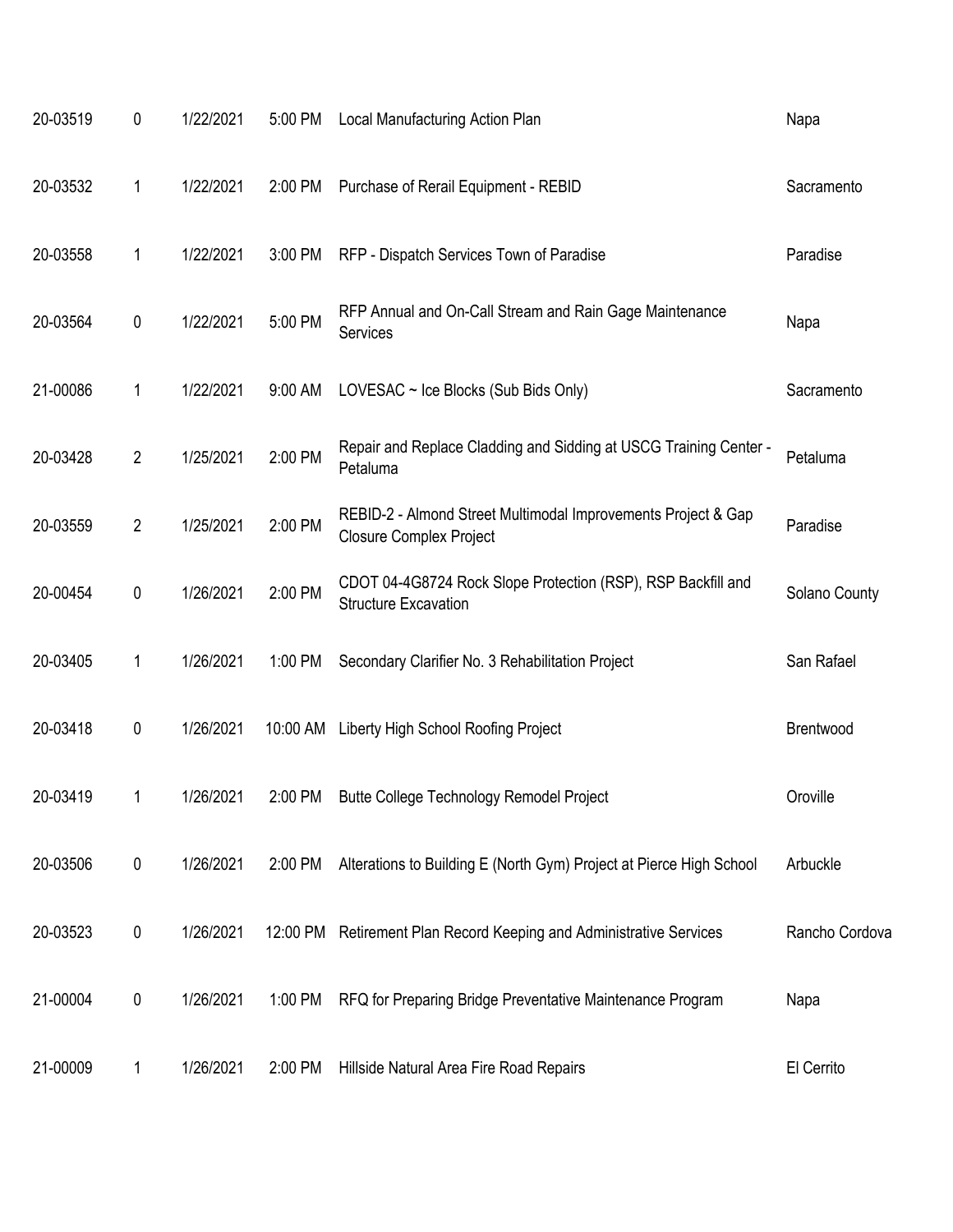| 20-03519 | 0              | 1/22/2021 | 5:00 PM  | Local Manufacturing Action Plan                                                                 | Napa           |
|----------|----------------|-----------|----------|-------------------------------------------------------------------------------------------------|----------------|
| 20-03532 | 1              | 1/22/2021 | 2:00 PM  | Purchase of Rerail Equipment - REBID                                                            | Sacramento     |
| 20-03558 | 1              | 1/22/2021 | 3:00 PM  | RFP - Dispatch Services Town of Paradise                                                        | Paradise       |
| 20-03564 | 0              | 1/22/2021 | 5:00 PM  | RFP Annual and On-Call Stream and Rain Gage Maintenance<br>Services                             | Napa           |
| 21-00086 | 1              | 1/22/2021 | 9:00 AM  | LOVESAC $\sim$ Ice Blocks (Sub Bids Only)                                                       | Sacramento     |
| 20-03428 | $\overline{2}$ | 1/25/2021 | 2:00 PM  | Repair and Replace Cladding and Sidding at USCG Training Center -<br>Petaluma                   | Petaluma       |
| 20-03559 | $\overline{2}$ | 1/25/2021 | 2:00 PM  | REBID-2 - Almond Street Multimodal Improvements Project & Gap<br><b>Closure Complex Project</b> | Paradise       |
| 20-00454 | 0              | 1/26/2021 | 2:00 PM  | CDOT 04-4G8724 Rock Slope Protection (RSP), RSP Backfill and<br><b>Structure Excavation</b>     | Solano County  |
| 20-03405 | 1              | 1/26/2021 | 1:00 PM  | Secondary Clarifier No. 3 Rehabilitation Project                                                | San Rafael     |
| 20-03418 | 0              | 1/26/2021 | 10:00 AM | Liberty High School Roofing Project                                                             | Brentwood      |
| 20-03419 |                | 1/26/2021 | 2:00 PM  | Butte College Technology Remodel Project                                                        | Oroville       |
| 20-03506 | 0              | 1/26/2021 | 2:00 PM  | Alterations to Building E (North Gym) Project at Pierce High School                             | Arbuckle       |
| 20-03523 | 0              | 1/26/2021 | 12:00 PM | Retirement Plan Record Keeping and Administrative Services                                      | Rancho Cordova |
| 21-00004 | 0              | 1/26/2021 | 1:00 PM  | RFQ for Preparing Bridge Preventative Maintenance Program                                       | Napa           |
| 21-00009 | 1              | 1/26/2021 | 2:00 PM  | Hillside Natural Area Fire Road Repairs                                                         | El Cerrito     |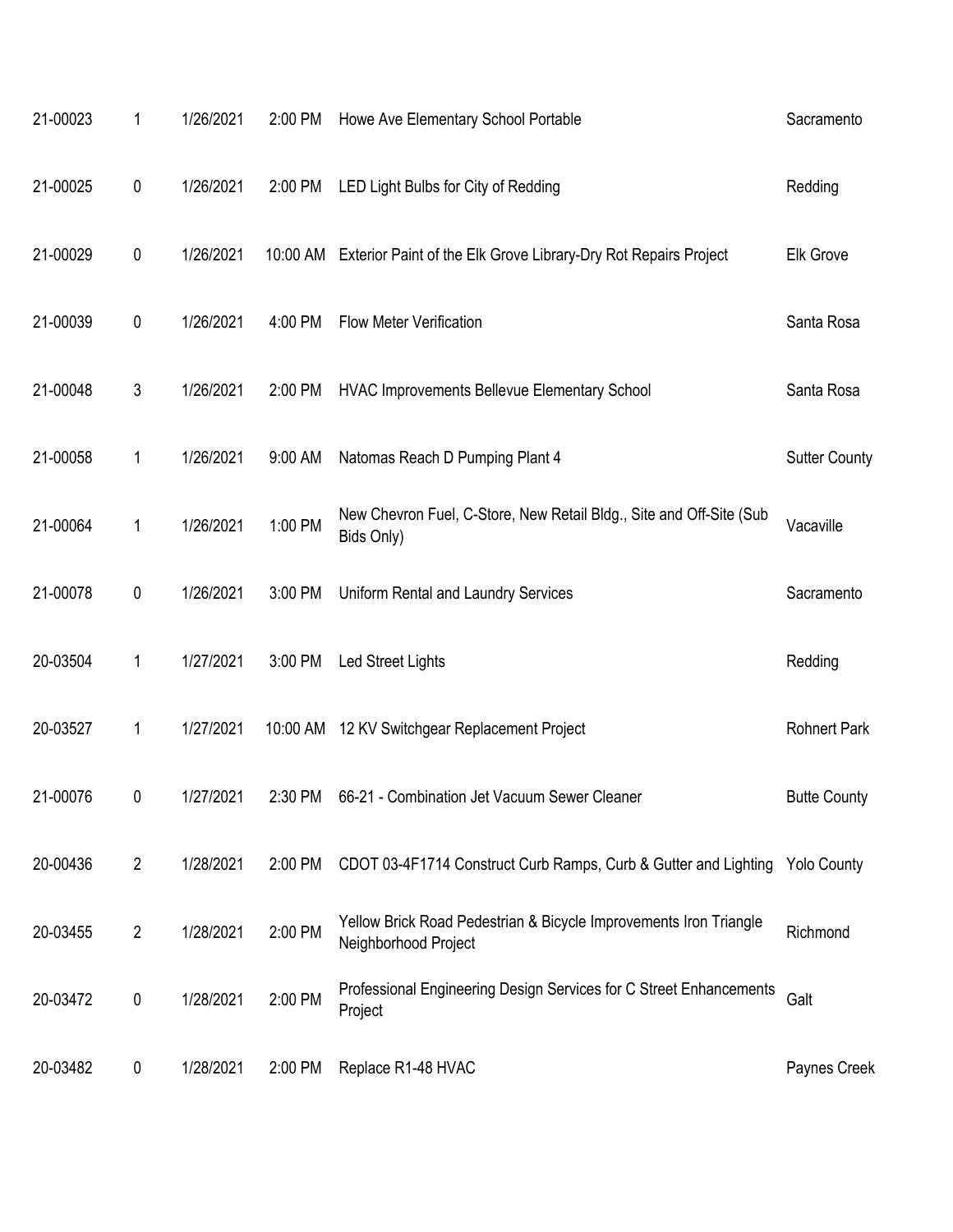| 21-00023 | 1              | 1/26/2021 | 2:00 PM | Howe Ave Elementary School Portable                                                       | Sacramento           |
|----------|----------------|-----------|---------|-------------------------------------------------------------------------------------------|----------------------|
| 21-00025 | $\pmb{0}$      | 1/26/2021 | 2:00 PM | LED Light Bulbs for City of Redding                                                       | Redding              |
| 21-00029 | $\pmb{0}$      | 1/26/2021 |         | 10:00 AM Exterior Paint of the Elk Grove Library-Dry Rot Repairs Project                  | <b>Elk Grove</b>     |
| 21-00039 | $\pmb{0}$      | 1/26/2021 | 4:00 PM | <b>Flow Meter Verification</b>                                                            | Santa Rosa           |
| 21-00048 | 3              | 1/26/2021 | 2:00 PM | HVAC Improvements Bellevue Elementary School                                              | Santa Rosa           |
| 21-00058 | 1              | 1/26/2021 | 9:00 AM | Natomas Reach D Pumping Plant 4                                                           | <b>Sutter County</b> |
| 21-00064 | 1              | 1/26/2021 | 1:00 PM | New Chevron Fuel, C-Store, New Retail Bldg., Site and Off-Site (Sub<br>Bids Only)         | Vacaville            |
| 21-00078 | 0              | 1/26/2021 | 3:00 PM | Uniform Rental and Laundry Services                                                       | Sacramento           |
| 20-03504 | 1              | 1/27/2021 | 3:00 PM | Led Street Lights                                                                         | Redding              |
| 20-03527 | 1              | 1/27/2021 |         | 10:00 AM 12 KV Switchgear Replacement Project                                             | <b>Rohnert Park</b>  |
| 21-00076 | 0              | 1/27/2021 | 2:30 PM | 66-21 - Combination Jet Vacuum Sewer Cleaner                                              | <b>Butte County</b>  |
| 20-00436 | $\overline{2}$ | 1/28/2021 | 2:00 PM | CDOT 03-4F1714 Construct Curb Ramps, Curb & Gutter and Lighting                           | <b>Yolo County</b>   |
| 20-03455 | $\overline{2}$ | 1/28/2021 | 2:00 PM | Yellow Brick Road Pedestrian & Bicycle Improvements Iron Triangle<br>Neighborhood Project | Richmond             |
| 20-03472 | $\pmb{0}$      | 1/28/2021 | 2:00 PM | Professional Engineering Design Services for C Street Enhancements<br>Project             | Galt                 |
| 20-03482 | 0              | 1/28/2021 | 2:00 PM | Replace R1-48 HVAC                                                                        | Paynes Creek         |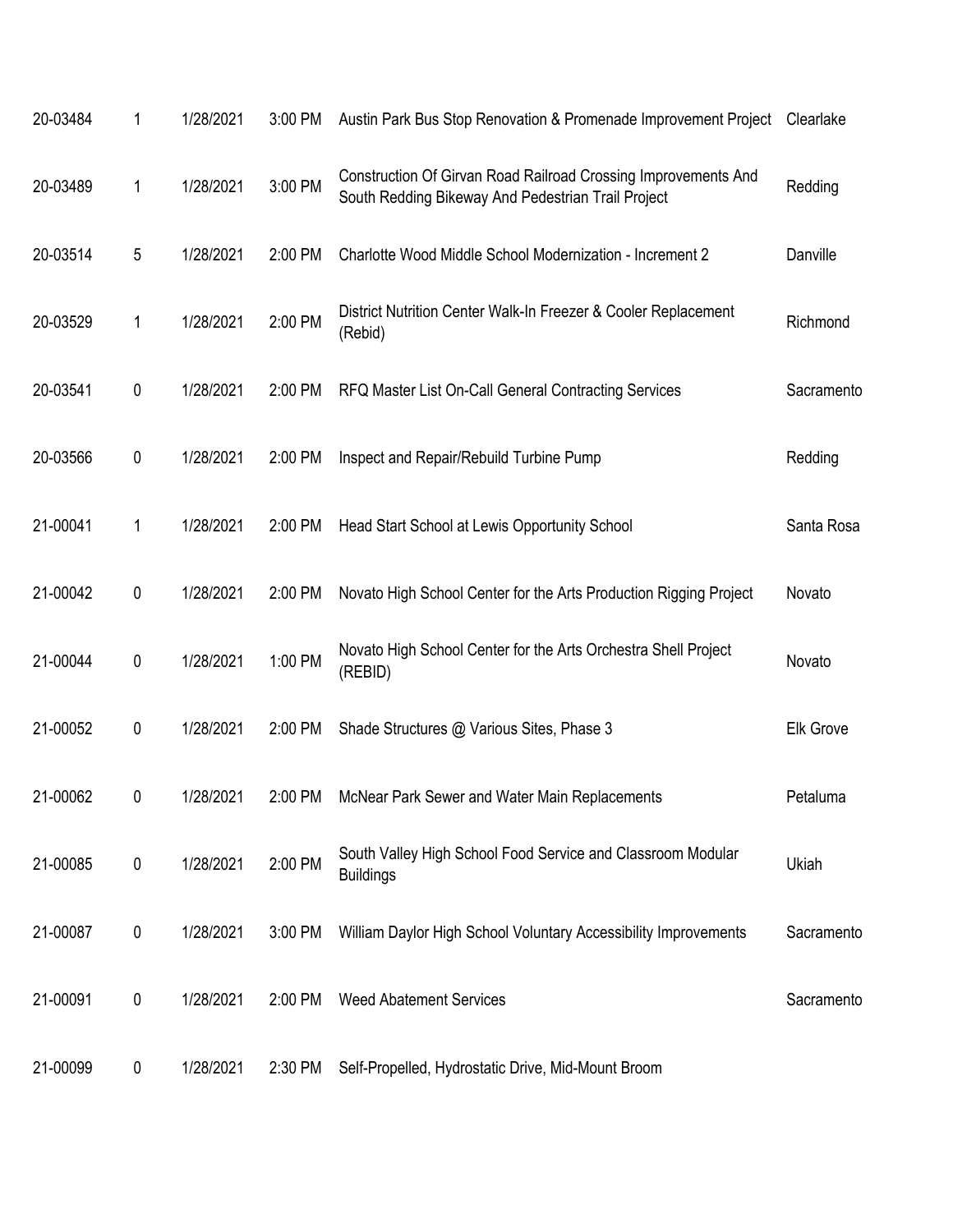| 20-03484 | 1         | 1/28/2021 | 3:00 PM | Austin Park Bus Stop Renovation & Promenade Improvement Project                                                      | Clearlake        |
|----------|-----------|-----------|---------|----------------------------------------------------------------------------------------------------------------------|------------------|
| 20-03489 | 1         | 1/28/2021 | 3:00 PM | Construction Of Girvan Road Railroad Crossing Improvements And<br>South Redding Bikeway And Pedestrian Trail Project | Redding          |
| 20-03514 | 5         | 1/28/2021 | 2:00 PM | Charlotte Wood Middle School Modernization - Increment 2                                                             | Danville         |
| 20-03529 | 1         | 1/28/2021 | 2:00 PM | District Nutrition Center Walk-In Freezer & Cooler Replacement<br>(Rebid)                                            | Richmond         |
| 20-03541 | 0         | 1/28/2021 | 2:00 PM | RFQ Master List On-Call General Contracting Services                                                                 | Sacramento       |
| 20-03566 | 0         | 1/28/2021 | 2:00 PM | Inspect and Repair/Rebuild Turbine Pump                                                                              | Redding          |
| 21-00041 | 1         | 1/28/2021 | 2:00 PM | Head Start School at Lewis Opportunity School                                                                        | Santa Rosa       |
| 21-00042 | 0         | 1/28/2021 | 2:00 PM | Novato High School Center for the Arts Production Rigging Project                                                    | Novato           |
| 21-00044 | $\pmb{0}$ | 1/28/2021 | 1:00 PM | Novato High School Center for the Arts Orchestra Shell Project<br>(REBID)                                            | Novato           |
| 21-00052 | 0         | 1/28/2021 | 2:00 PM | Shade Structures @ Various Sites, Phase 3                                                                            | <b>Elk Grove</b> |
| 21-00062 | 0         | 1/28/2021 | 2:00 PM | McNear Park Sewer and Water Main Replacements                                                                        | Petaluma         |
| 21-00085 | 0         | 1/28/2021 | 2:00 PM | South Valley High School Food Service and Classroom Modular<br><b>Buildings</b>                                      | Ukiah            |
| 21-00087 | 0         | 1/28/2021 | 3:00 PM | William Daylor High School Voluntary Accessibility Improvements                                                      | Sacramento       |
| 21-00091 | 0         | 1/28/2021 | 2:00 PM | <b>Weed Abatement Services</b>                                                                                       | Sacramento       |
| 21-00099 | 0         | 1/28/2021 | 2:30 PM | Self-Propelled, Hydrostatic Drive, Mid-Mount Broom                                                                   |                  |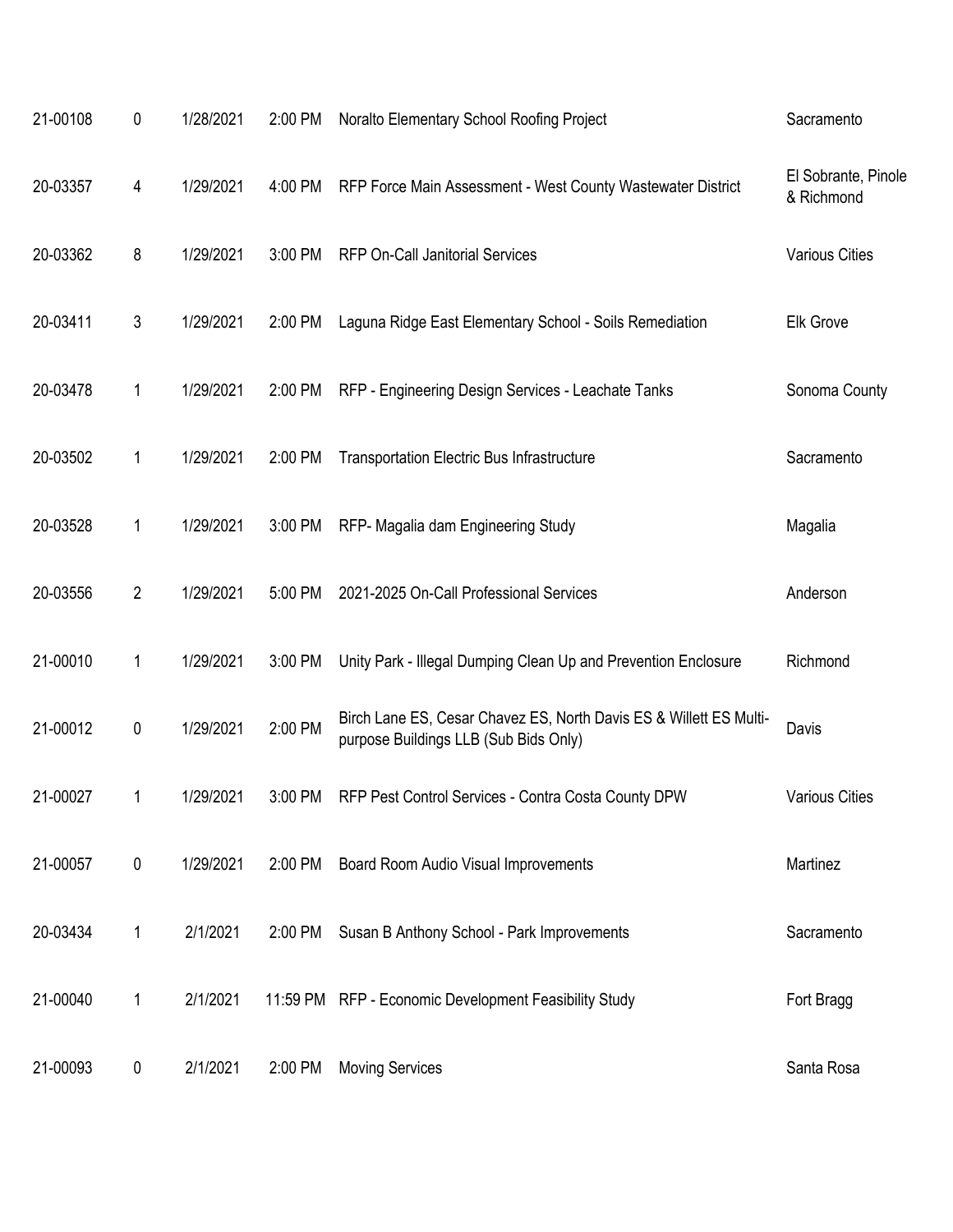| 21-00108 | 0              | 1/28/2021 | 2:00 PM | Noralto Elementary School Roofing Project                                                                   | Sacramento                        |
|----------|----------------|-----------|---------|-------------------------------------------------------------------------------------------------------------|-----------------------------------|
| 20-03357 | 4              | 1/29/2021 | 4:00 PM | RFP Force Main Assessment - West County Wastewater District                                                 | El Sobrante, Pinole<br>& Richmond |
| 20-03362 | 8              | 1/29/2021 | 3:00 PM | <b>RFP On-Call Janitorial Services</b>                                                                      | <b>Various Cities</b>             |
| 20-03411 | 3              | 1/29/2021 | 2:00 PM | Laguna Ridge East Elementary School - Soils Remediation                                                     | Elk Grove                         |
| 20-03478 | 1              | 1/29/2021 | 2:00 PM | RFP - Engineering Design Services - Leachate Tanks                                                          | Sonoma County                     |
| 20-03502 | 1              | 1/29/2021 | 2:00 PM | <b>Transportation Electric Bus Infrastructure</b>                                                           | Sacramento                        |
| 20-03528 | 1              | 1/29/2021 | 3:00 PM | RFP- Magalia dam Engineering Study                                                                          | Magalia                           |
| 20-03556 | $\overline{2}$ | 1/29/2021 | 5:00 PM | 2021-2025 On-Call Professional Services                                                                     | Anderson                          |
| 21-00010 | 1              | 1/29/2021 | 3:00 PM | Unity Park - Illegal Dumping Clean Up and Prevention Enclosure                                              | Richmond                          |
| 21-00012 | 0              | 1/29/2021 | 2:00 PM | Birch Lane ES, Cesar Chavez ES, North Davis ES & Willett ES Multi-<br>purpose Buildings LLB (Sub Bids Only) | Davis                             |
| 21-00027 |                | 1/29/2021 | 3:00 PM | RFP Pest Control Services - Contra Costa County DPW                                                         | <b>Various Cities</b>             |
| 21-00057 | 0              | 1/29/2021 | 2:00 PM | Board Room Audio Visual Improvements                                                                        | Martinez                          |
| 20-03434 | 1              | 2/1/2021  | 2:00 PM | Susan B Anthony School - Park Improvements                                                                  | Sacramento                        |
| 21-00040 | 1              | 2/1/2021  |         | 11:59 PM RFP - Economic Development Feasibility Study                                                       | Fort Bragg                        |
| 21-00093 | 0              | 2/1/2021  | 2:00 PM | <b>Moving Services</b>                                                                                      | Santa Rosa                        |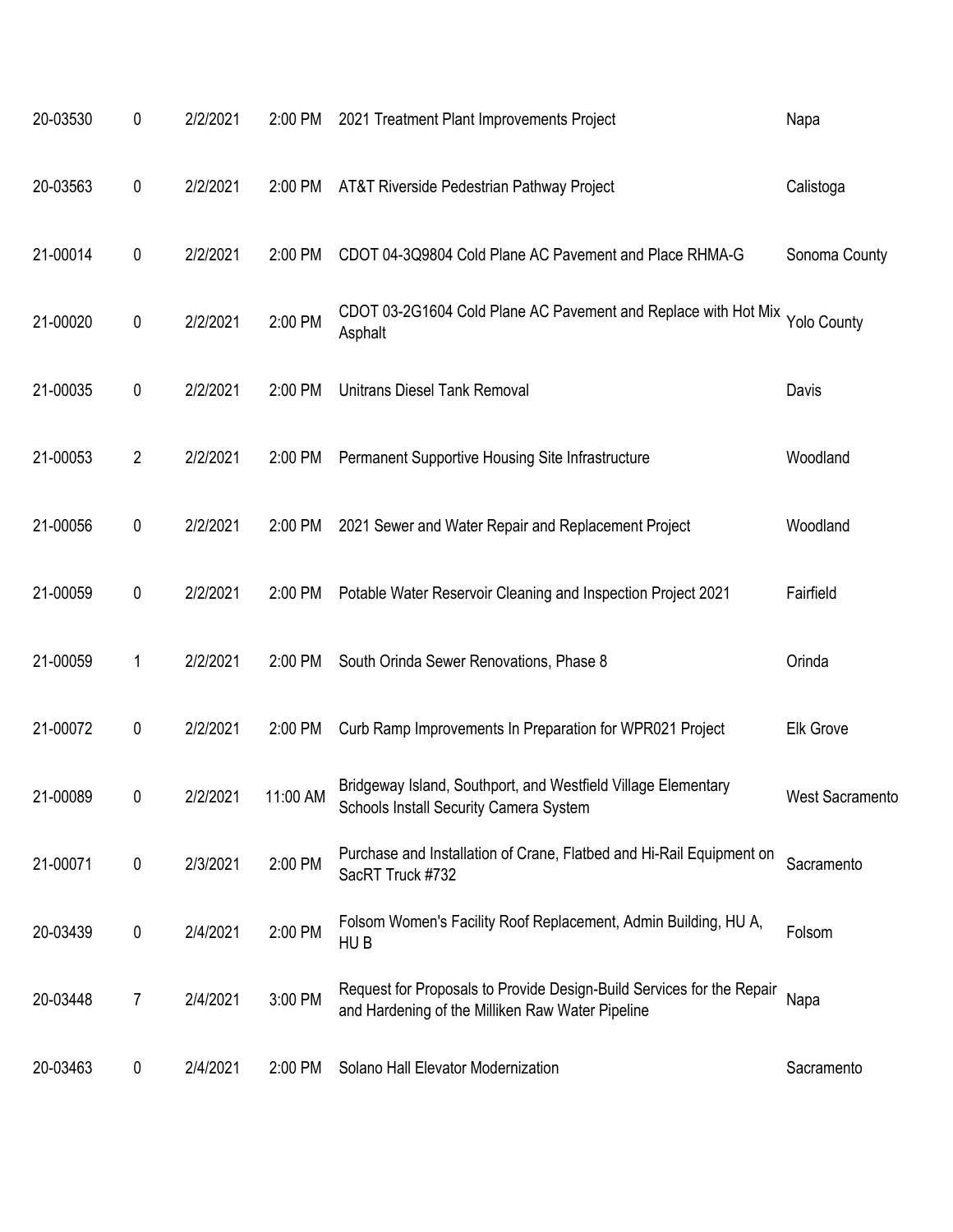| 20-03530 | 0         | 2/2/2021 | 2:00 PM  | 2021 Treatment Plant Improvements Project                                                                                 | Napa                   |
|----------|-----------|----------|----------|---------------------------------------------------------------------------------------------------------------------------|------------------------|
| 20-03563 | 0         | 2/2/2021 | 2:00 PM  | AT&T Riverside Pedestrian Pathway Project                                                                                 | Calistoga              |
| 21-00014 | $\pmb{0}$ | 2/2/2021 | 2:00 PM  | CDOT 04-3Q9804 Cold Plane AC Pavement and Place RHMA-G                                                                    | Sonoma County          |
| 21-00020 | 0         | 2/2/2021 | 2:00 PM  | CDOT 03-2G1604 Cold Plane AC Pavement and Replace with Hot Mix<br>Asphalt                                                 | <b>Yolo County</b>     |
| 21-00035 | 0         | 2/2/2021 | 2:00 PM  | <b>Unitrans Diesel Tank Removal</b>                                                                                       | Davis                  |
| 21-00053 | 2         | 2/2/2021 | 2:00 PM  | Permanent Supportive Housing Site Infrastructure                                                                          | Woodland               |
| 21-00056 | 0         | 2/2/2021 | 2:00 PM  | 2021 Sewer and Water Repair and Replacement Project                                                                       | Woodland               |
| 21-00059 | 0         | 2/2/2021 | 2:00 PM  | Potable Water Reservoir Cleaning and Inspection Project 2021                                                              | Fairfield              |
| 21-00059 | 1         | 2/2/2021 | 2:00 PM  | South Orinda Sewer Renovations, Phase 8                                                                                   | Orinda                 |
| 21-00072 | 0         | 2/2/2021 | 2:00 PM  | Curb Ramp Improvements In Preparation for WPR021 Project                                                                  | <b>Elk Grove</b>       |
| 21-00089 | 0         | 2/2/2021 | 11:00 AM | Bridgeway Island, Southport, and Westfield Village Elementary<br>Schools Install Security Camera System                   | <b>West Sacramento</b> |
| 21-00071 | $\pmb{0}$ | 2/3/2021 | 2:00 PM  | Purchase and Installation of Crane, Flatbed and Hi-Rail Equipment on<br>SacRT Truck #732                                  | Sacramento             |
| 20-03439 | 0         | 2/4/2021 | 2:00 PM  | Folsom Women's Facility Roof Replacement, Admin Building, HU A,<br>HU <sub>B</sub>                                        | Folsom                 |
| 20-03448 | 7         | 2/4/2021 | 3:00 PM  | Request for Proposals to Provide Design-Build Services for the Repair<br>and Hardening of the Milliken Raw Water Pipeline | Napa                   |
| 20-03463 | 0         | 2/4/2021 | 2:00 PM  | Solano Hall Elevator Modernization                                                                                        | Sacramento             |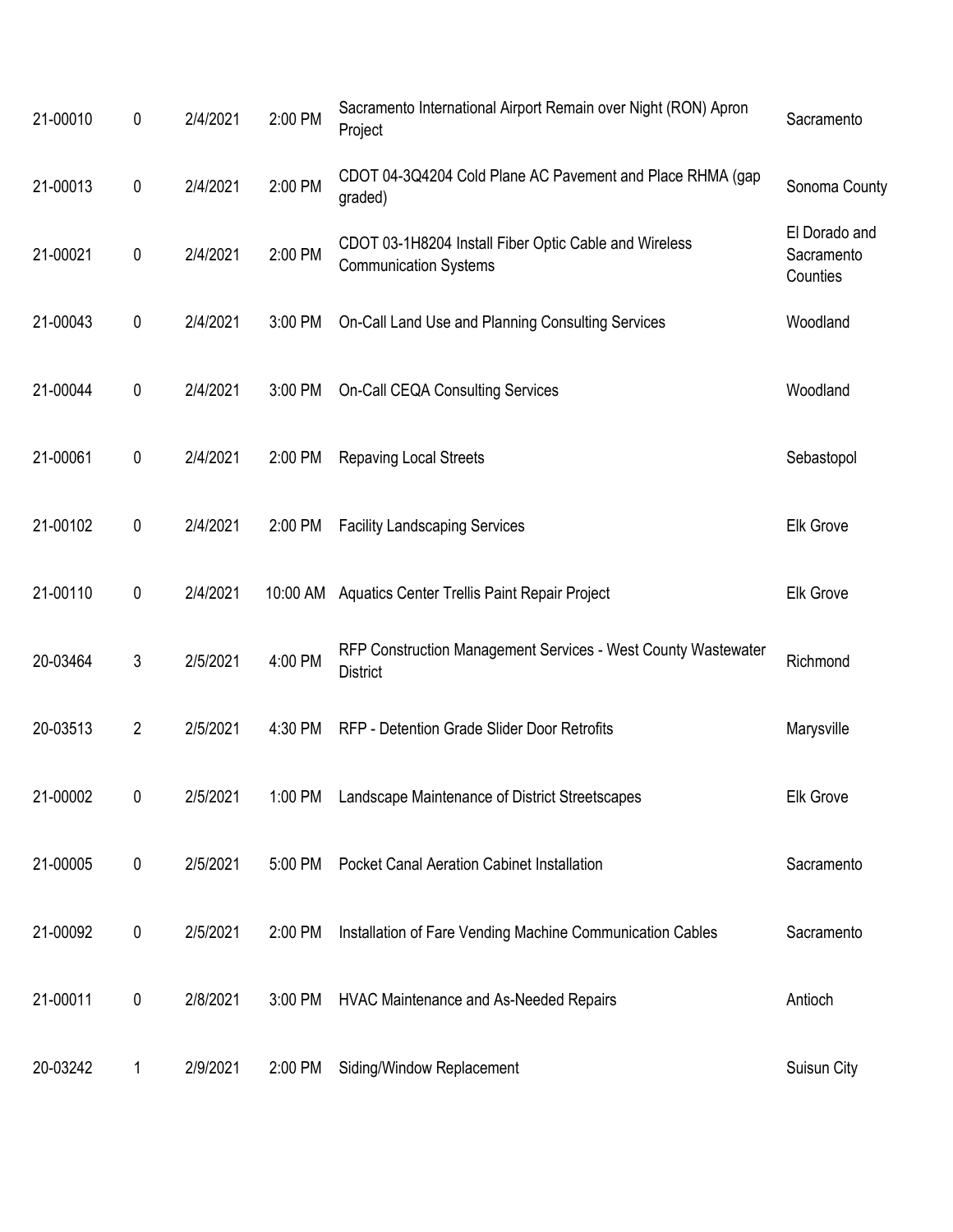| 21-00010 | $\pmb{0}$      | 2/4/2021 | 2:00 PM | Sacramento International Airport Remain over Night (RON) Apron<br>Project             | Sacramento                              |
|----------|----------------|----------|---------|---------------------------------------------------------------------------------------|-----------------------------------------|
| 21-00013 | $\pmb{0}$      | 2/4/2021 | 2:00 PM | CDOT 04-3Q4204 Cold Plane AC Pavement and Place RHMA (gap<br>graded)                  | Sonoma County                           |
| 21-00021 | $\pmb{0}$      | 2/4/2021 | 2:00 PM | CDOT 03-1H8204 Install Fiber Optic Cable and Wireless<br><b>Communication Systems</b> | El Dorado and<br>Sacramento<br>Counties |
| 21-00043 | $\pmb{0}$      | 2/4/2021 | 3:00 PM | On-Call Land Use and Planning Consulting Services                                     | Woodland                                |
| 21-00044 | $\pmb{0}$      | 2/4/2021 | 3:00 PM | <b>On-Call CEQA Consulting Services</b>                                               | Woodland                                |
| 21-00061 | $\pmb{0}$      | 2/4/2021 | 2:00 PM | <b>Repaving Local Streets</b>                                                         | Sebastopol                              |
| 21-00102 | $\pmb{0}$      | 2/4/2021 | 2:00 PM | <b>Facility Landscaping Services</b>                                                  | <b>Elk Grove</b>                        |
| 21-00110 | $\pmb{0}$      | 2/4/2021 |         | 10:00 AM Aquatics Center Trellis Paint Repair Project                                 | <b>Elk Grove</b>                        |
| 20-03464 | 3              | 2/5/2021 | 4:00 PM | RFP Construction Management Services - West County Wastewater<br><b>District</b>      | Richmond                                |
| 20-03513 | $\overline{2}$ | 2/5/2021 | 4:30 PM | RFP - Detention Grade Slider Door Retrofits                                           | Marysville                              |
| 21-00002 | 0              | 2/5/2021 |         | 1:00 PM Landscape Maintenance of District Streetscapes                                | Elk Grove                               |
| 21-00005 | $\pmb{0}$      | 2/5/2021 | 5:00 PM | <b>Pocket Canal Aeration Cabinet Installation</b>                                     | Sacramento                              |
| 21-00092 | $\pmb{0}$      | 2/5/2021 | 2:00 PM | Installation of Fare Vending Machine Communication Cables                             | Sacramento                              |
| 21-00011 | $\pmb{0}$      | 2/8/2021 | 3:00 PM | HVAC Maintenance and As-Needed Repairs                                                | Antioch                                 |
| 20-03242 | 1              | 2/9/2021 | 2:00 PM | Siding/Window Replacement                                                             | Suisun City                             |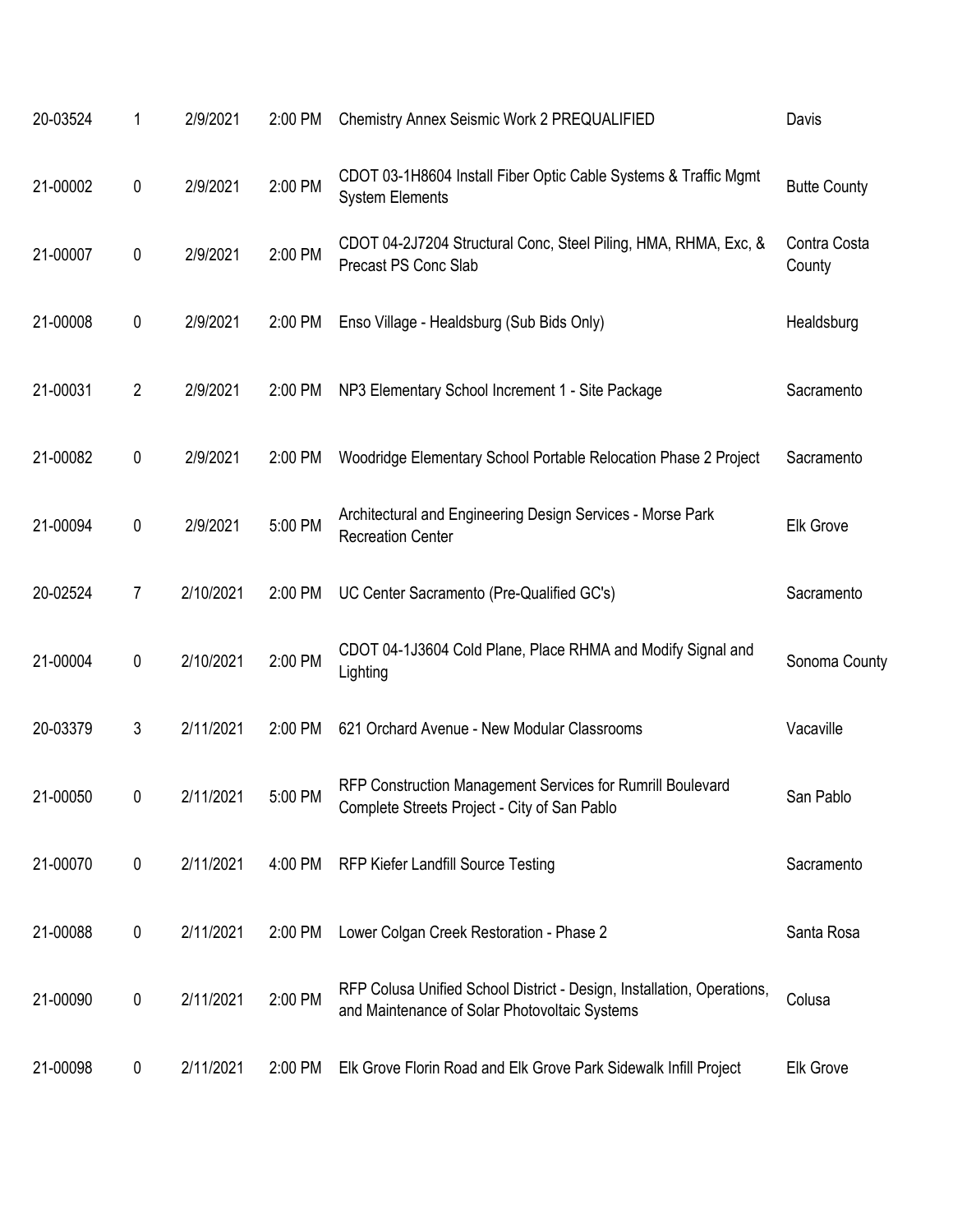| 20-03524 | 1              | 2/9/2021  | 2:00 PM | Chemistry Annex Seismic Work 2 PREQUALIFIED                                                                             | Davis                  |
|----------|----------------|-----------|---------|-------------------------------------------------------------------------------------------------------------------------|------------------------|
| 21-00002 | $\pmb{0}$      | 2/9/2021  | 2:00 PM | CDOT 03-1H8604 Install Fiber Optic Cable Systems & Traffic Mgmt<br><b>System Elements</b>                               | <b>Butte County</b>    |
| 21-00007 | $\pmb{0}$      | 2/9/2021  | 2:00 PM | CDOT 04-2J7204 Structural Conc, Steel Piling, HMA, RHMA, Exc, &<br>Precast PS Conc Slab                                 | Contra Costa<br>County |
| 21-00008 | $\pmb{0}$      | 2/9/2021  | 2:00 PM | Enso Village - Healdsburg (Sub Bids Only)                                                                               | Healdsburg             |
| 21-00031 | $\overline{2}$ | 2/9/2021  | 2:00 PM | NP3 Elementary School Increment 1 - Site Package                                                                        | Sacramento             |
| 21-00082 | $\pmb{0}$      | 2/9/2021  | 2:00 PM | Woodridge Elementary School Portable Relocation Phase 2 Project                                                         | Sacramento             |
| 21-00094 | $\pmb{0}$      | 2/9/2021  | 5:00 PM | Architectural and Engineering Design Services - Morse Park<br><b>Recreation Center</b>                                  | <b>Elk Grove</b>       |
| 20-02524 | 7              | 2/10/2021 | 2:00 PM | UC Center Sacramento (Pre-Qualified GC's)                                                                               | Sacramento             |
| 21-00004 | $\pmb{0}$      | 2/10/2021 | 2:00 PM | CDOT 04-1J3604 Cold Plane, Place RHMA and Modify Signal and<br>Lighting                                                 | Sonoma County          |
| 20-03379 | 3              | 2/11/2021 | 2:00 PM | 621 Orchard Avenue - New Modular Classrooms                                                                             | Vacaville              |
| 21-00050 | 0              | 2/11/2021 | 5:00 PM | RFP Construction Management Services for Rumrill Boulevard<br>Complete Streets Project - City of San Pablo              | San Pablo              |
| 21-00070 | $\pmb{0}$      | 2/11/2021 | 4:00 PM | RFP Kiefer Landfill Source Testing                                                                                      | Sacramento             |
| 21-00088 | $\pmb{0}$      | 2/11/2021 | 2:00 PM | Lower Colgan Creek Restoration - Phase 2                                                                                | Santa Rosa             |
| 21-00090 | $\pmb{0}$      | 2/11/2021 | 2:00 PM | RFP Colusa Unified School District - Design, Installation, Operations,<br>and Maintenance of Solar Photovoltaic Systems | Colusa                 |
| 21-00098 | 0              | 2/11/2021 | 2:00 PM | Elk Grove Florin Road and Elk Grove Park Sidewalk Infill Project                                                        | <b>Elk Grove</b>       |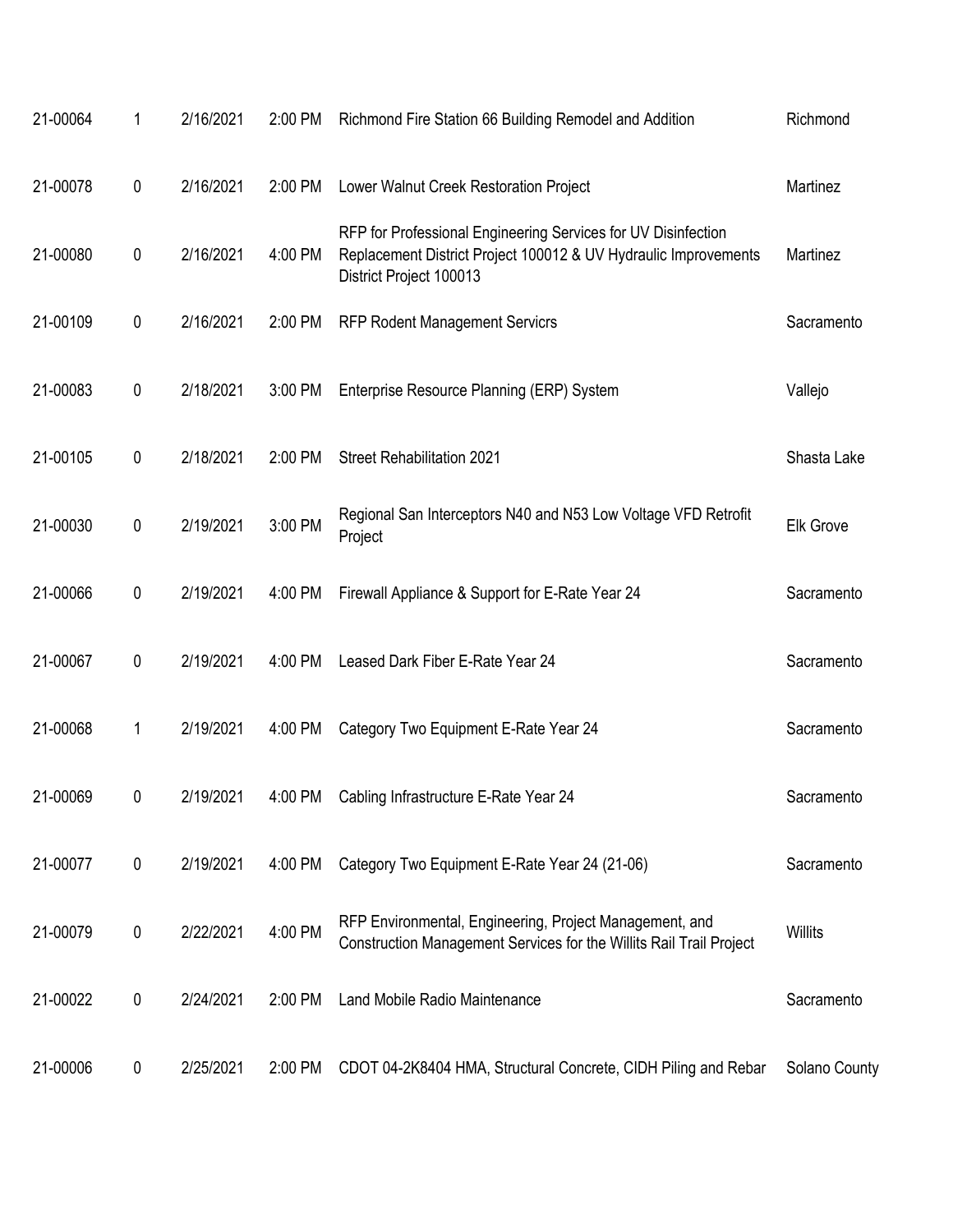| 21-00064 | 1         | 2/16/2021 | 2:00 PM | Richmond Fire Station 66 Building Remodel and Addition                                                                                                      | Richmond         |
|----------|-----------|-----------|---------|-------------------------------------------------------------------------------------------------------------------------------------------------------------|------------------|
| 21-00078 | 0         | 2/16/2021 | 2:00 PM | Lower Walnut Creek Restoration Project                                                                                                                      | Martinez         |
| 21-00080 | 0         | 2/16/2021 | 4:00 PM | RFP for Professional Engineering Services for UV Disinfection<br>Replacement District Project 100012 & UV Hydraulic Improvements<br>District Project 100013 | Martinez         |
| 21-00109 | 0         | 2/16/2021 | 2:00 PM | <b>RFP Rodent Management Servicrs</b>                                                                                                                       | Sacramento       |
| 21-00083 | 0         | 2/18/2021 | 3:00 PM | Enterprise Resource Planning (ERP) System                                                                                                                   | Vallejo          |
| 21-00105 | 0         | 2/18/2021 | 2:00 PM | <b>Street Rehabilitation 2021</b>                                                                                                                           | Shasta Lake      |
| 21-00030 | $\pmb{0}$ | 2/19/2021 | 3:00 PM | Regional San Interceptors N40 and N53 Low Voltage VFD Retrofit<br>Project                                                                                   | <b>Elk Grove</b> |
| 21-00066 | 0         | 2/19/2021 | 4:00 PM | Firewall Appliance & Support for E-Rate Year 24                                                                                                             | Sacramento       |
| 21-00067 | 0         | 2/19/2021 | 4:00 PM | Leased Dark Fiber E-Rate Year 24                                                                                                                            | Sacramento       |
| 21-00068 | 1         | 2/19/2021 | 4:00 PM | Category Two Equipment E-Rate Year 24                                                                                                                       | Sacramento       |
| 21-00069 | 0         | 2/19/2021 | 4:00 PM | Cabling Infrastructure E-Rate Year 24                                                                                                                       | Sacramento       |
| 21-00077 | $\pmb{0}$ | 2/19/2021 | 4:00 PM | Category Two Equipment E-Rate Year 24 (21-06)                                                                                                               | Sacramento       |
| 21-00079 | 0         | 2/22/2021 | 4:00 PM | RFP Environmental, Engineering, Project Management, and<br>Construction Management Services for the Willits Rail Trail Project                              | <b>Willits</b>   |
| 21-00022 | 0         | 2/24/2021 | 2:00 PM | Land Mobile Radio Maintenance                                                                                                                               | Sacramento       |
| 21-00006 | 0         | 2/25/2021 | 2:00 PM | CDOT 04-2K8404 HMA, Structural Concrete, CIDH Piling and Rebar                                                                                              | Solano County    |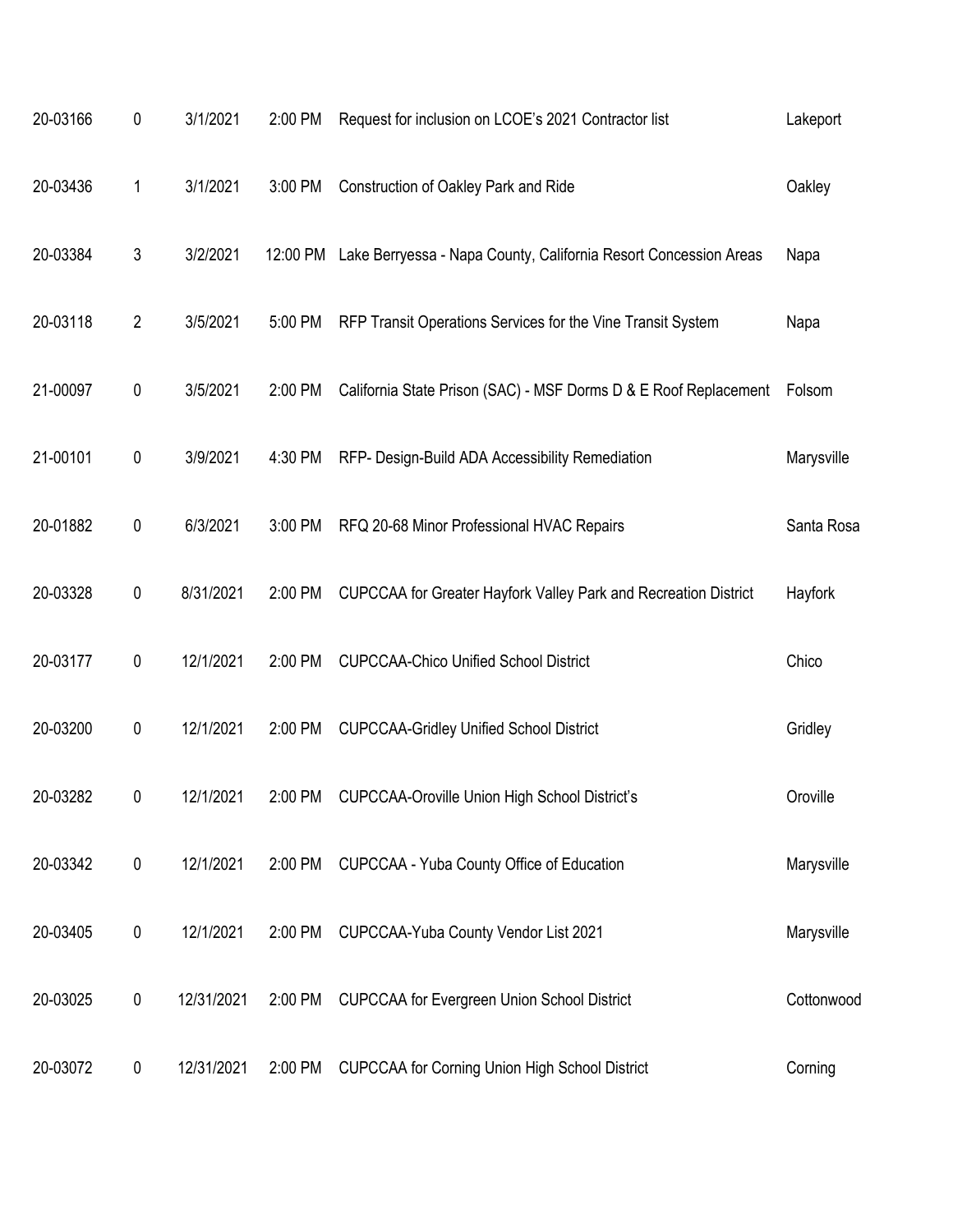| 20-03166 | 0              | 3/1/2021   | 2:00 PM | Request for inclusion on LCOE's 2021 Contractor list                      | Lakeport   |
|----------|----------------|------------|---------|---------------------------------------------------------------------------|------------|
| 20-03436 | 1              | 3/1/2021   | 3:00 PM | Construction of Oakley Park and Ride                                      | Oakley     |
| 20-03384 | $\mathfrak{Z}$ | 3/2/2021   |         | 12:00 PM Lake Berryessa - Napa County, California Resort Concession Areas | Napa       |
| 20-03118 | $\overline{2}$ | 3/5/2021   | 5:00 PM | RFP Transit Operations Services for the Vine Transit System               | Napa       |
| 21-00097 | $\pmb{0}$      | 3/5/2021   | 2:00 PM | California State Prison (SAC) - MSF Dorms D & E Roof Replacement          | Folsom     |
| 21-00101 | $\pmb{0}$      | 3/9/2021   | 4:30 PM | RFP- Design-Build ADA Accessibility Remediation                           | Marysville |
| 20-01882 | $\pmb{0}$      | 6/3/2021   | 3:00 PM | RFQ 20-68 Minor Professional HVAC Repairs                                 | Santa Rosa |
| 20-03328 | $\pmb{0}$      | 8/31/2021  | 2:00 PM | CUPCCAA for Greater Hayfork Valley Park and Recreation District           | Hayfork    |
| 20-03177 | $\pmb{0}$      | 12/1/2021  | 2:00 PM | <b>CUPCCAA-Chico Unified School District</b>                              | Chico      |
| 20-03200 | $\pmb{0}$      | 12/1/2021  | 2:00 PM | <b>CUPCCAA-Gridley Unified School District</b>                            | Gridley    |
| 20-03282 | 0              | 12/1/2021  | 2:00 PM | <b>CUPCCAA-Oroville Union High School District's</b>                      | Oroville   |
| 20-03342 | $\pmb{0}$      | 12/1/2021  | 2:00 PM | CUPCCAA - Yuba County Office of Education                                 | Marysville |
| 20-03405 | $\pmb{0}$      | 12/1/2021  | 2:00 PM | CUPCCAA-Yuba County Vendor List 2021                                      | Marysville |
| 20-03025 | 0              | 12/31/2021 | 2:00 PM | <b>CUPCCAA for Evergreen Union School District</b>                        | Cottonwood |
| 20-03072 | 0              | 12/31/2021 | 2:00 PM | <b>CUPCCAA for Corning Union High School District</b>                     | Corning    |